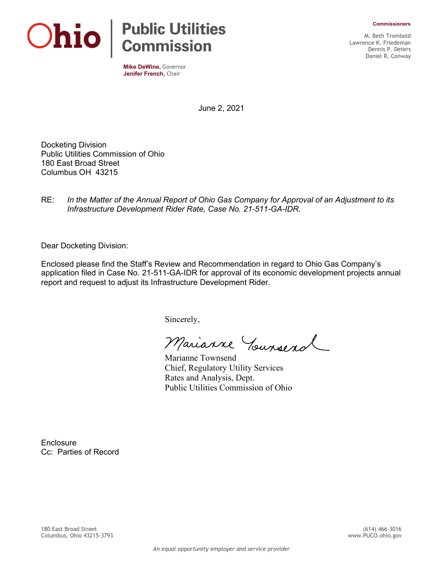**Commissioners**



**Mike DeWine,** Governor **Jenifer French,** Chair

M. Beth Trombold Lawrence K. Friedeman Dennis P. Deters Daniel R. Conway

June 2, 2021

Docketing Division Public Utilities Commission of Ohio 180 East Broad Street Columbus OH 43215

RE: *In the Matter of the Annual Report of Ohio Gas Company for Approval of an Adjustment to its Infrastructure Development Rider Rate, Case No. 21-511-GA-IDR.*

Dear Docketing Division:

Enclosed please find the Staff's Review and Recommendation in regard to Ohio Gas Company's application filed in Case No. 21-511-GA-IDR for approval of its economic development projects annual report and request to adjust its Infrastructure Development Rider.

Sincerely,

Marianne Yourserol

Marianne Townsend Chief, Regulatory Utility Services Rates and Analysis, Dept. Public Utilities Commission of Ohio

**Enclosure** Cc: Parties of Record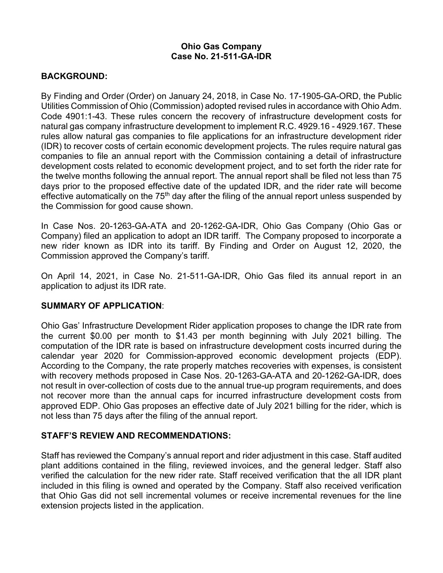## **Ohio Gas Company Case No. 21-511-GA-IDR**

### **BACKGROUND:**

By Finding and Order (Order) on January 24, 2018, in Case No. 17-1905-GA-ORD, the Public Utilities Commission of Ohio (Commission) adopted revised rules in accordance with Ohio Adm. Code 4901:1-43. These rules concern the recovery of infrastructure development costs for natural gas company infrastructure development to implement R.C. 4929.16 - 4929.167. These rules allow natural gas companies to file applications for an infrastructure development rider (IDR) to recover costs of certain economic development projects. The rules require natural gas companies to file an annual report with the Commission containing a detail of infrastructure development costs related to economic development project, and to set forth the rider rate for the twelve months following the annual report. The annual report shall be filed not less than 75 days prior to the proposed effective date of the updated IDR, and the rider rate will become effective automatically on the  $75<sup>th</sup>$  day after the filing of the annual report unless suspended by the Commission for good cause shown.

In Case Nos. 20-1263-GA-ATA and 20-1262-GA-IDR, Ohio Gas Company (Ohio Gas or Company) filed an application to adopt an IDR tariff. The Company proposed to incorporate a new rider known as IDR into its tariff. By Finding and Order on August 12, 2020, the Commission approved the Company's tariff.

On April 14, 2021, in Case No. 21-511-GA-IDR, Ohio Gas filed its annual report in an application to adjust its IDR rate.

## **SUMMARY OF APPLICATION**:

Ohio Gas' Infrastructure Development Rider application proposes to change the IDR rate from the current \$0.00 per month to \$1.43 per month beginning with July 2021 billing. The computation of the IDR rate is based on infrastructure development costs incurred during the calendar year 2020 for Commission-approved economic development projects (EDP). According to the Company, the rate properly matches recoveries with expenses, is consistent with recovery methods proposed in Case Nos. 20-1263-GA-ATA and 20-1262-GA-IDR, does not result in over-collection of costs due to the annual true-up program requirements, and does not recover more than the annual caps for incurred infrastructure development costs from approved EDP. Ohio Gas proposes an effective date of July 2021 billing for the rider, which is not less than 75 days after the filing of the annual report.

#### **STAFF'S REVIEW AND RECOMMENDATIONS:**

Staff has reviewed the Company's annual report and rider adjustment in this case. Staff audited plant additions contained in the filing, reviewed invoices, and the general ledger. Staff also verified the calculation for the new rider rate. Staff received verification that the all IDR plant included in this filing is owned and operated by the Company. Staff also received verification that Ohio Gas did not sell incremental volumes or receive incremental revenues for the line extension projects listed in the application.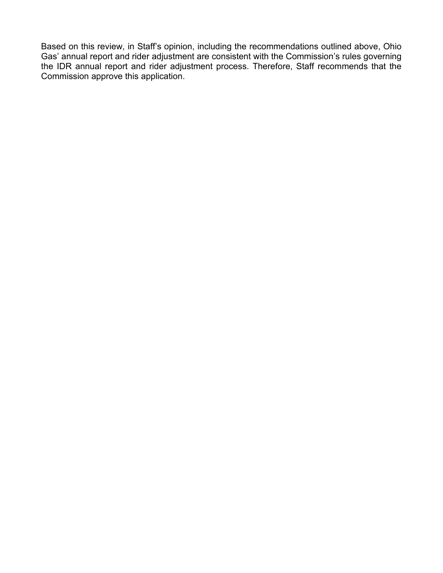Based on this review, in Staff's opinion, including the recommendations outlined above, Ohio Gas' annual report and rider adjustment are consistent with the Commission's rules governing the IDR annual report and rider adjustment process. Therefore, Staff recommends that the Commission approve this application.